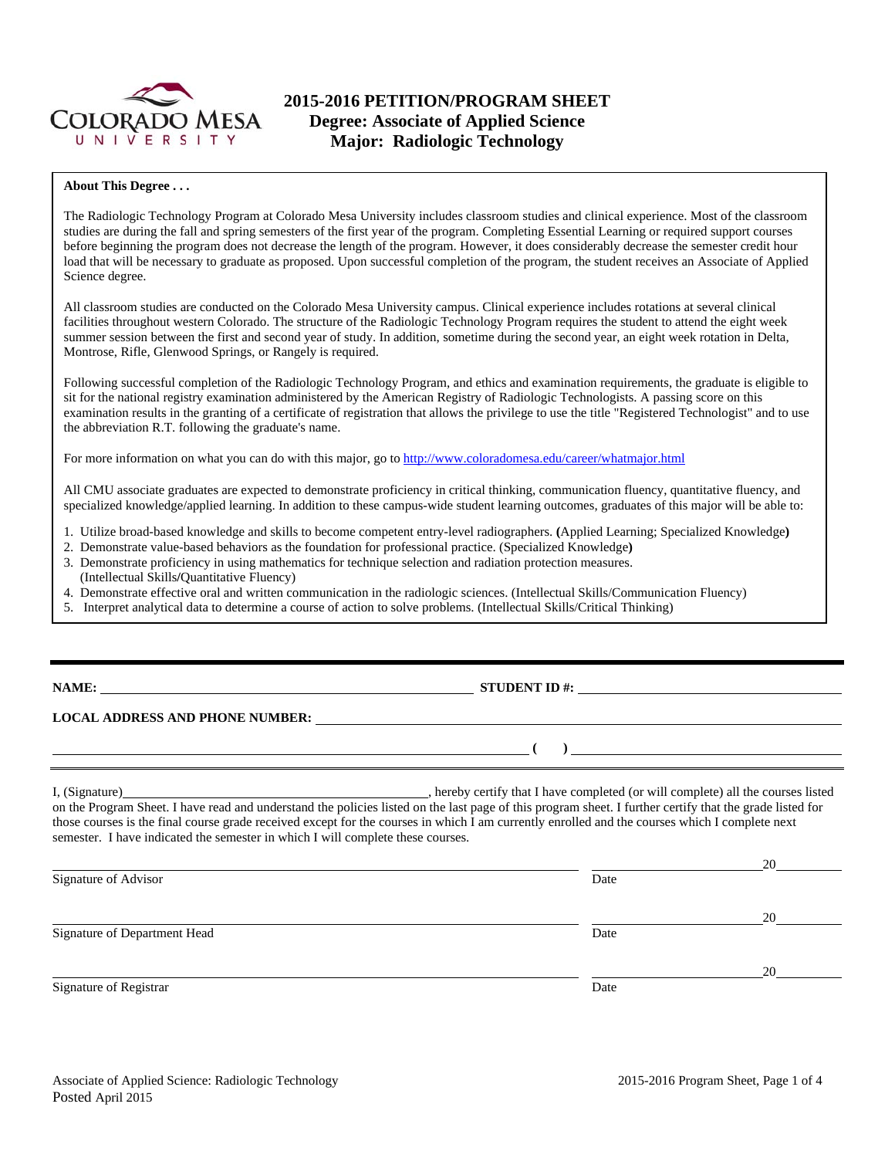

# **2015-2016 PETITION/PROGRAM SHEET Degree: Associate of Applied Science Major: Radiologic Technology**

### **About This Degree . . .**

The Radiologic Technology Program at Colorado Mesa University includes classroom studies and clinical experience. Most of the classroom studies are during the fall and spring semesters of the first year of the program. Completing Essential Learning or required support courses before beginning the program does not decrease the length of the program. However, it does considerably decrease the semester credit hour load that will be necessary to graduate as proposed. Upon successful completion of the program, the student receives an Associate of Applied Science degree.

All classroom studies are conducted on the Colorado Mesa University campus. Clinical experience includes rotations at several clinical facilities throughout western Colorado. The structure of the Radiologic Technology Program requires the student to attend the eight week summer session between the first and second year of study. In addition, sometime during the second year, an eight week rotation in Delta, Montrose, Rifle, Glenwood Springs, or Rangely is required.

Following successful completion of the Radiologic Technology Program, and ethics and examination requirements, the graduate is eligible to sit for the national registry examination administered by the American Registry of Radiologic Technologists. A passing score on this examination results in the granting of a certificate of registration that allows the privilege to use the title "Registered Technologist" and to use the abbreviation R.T. following the graduate's name.

For more information on what you can do with this major, go to http://www.coloradomesa.edu/career/whatmajor.html

All CMU associate graduates are expected to demonstrate proficiency in critical thinking, communication fluency, quantitative fluency, and specialized knowledge/applied learning. In addition to these campus-wide student learning outcomes, graduates of this major will be able to:

- 1. Utilize broad-based knowledge and skills to become competent entry-level radiographers. **(**Applied Learning; Specialized Knowledge**)**
- 2. Demonstrate value-based behaviors as the foundation for professional practice. (Specialized Knowledge**)**  3. Demonstrate proficiency in using mathematics for technique selection and radiation protection measures.
- (Intellectual Skills**/**Quantitative Fluency)
- 4. Demonstrate effective oral and written communication in the radiologic sciences. (Intellectual Skills/Communication Fluency)
- 5. Interpret analytical data to determine a course of action to solve problems. (Intellectual Skills/Critical Thinking)

**NAME: STUDENT ID #: STUDENT ID #: STUDENT ID #: STUDENT ID #: STUDENT ID #: STUDENT ID #: STUDENT ID #: STUDENT ID #: STUDENT ID #: STUDENT ID #: STUDENT ID #: STUDENT ID #: STUDENT ID #: STUDE** 

## **LOCAL ADDRESS AND PHONE NUMBER:**

I, (Signature) hereby certify that I have completed (or will complete) all the courses listed on the Program Sheet. I have read and understand the policies listed on the last page of this program sheet. I further certify that the grade listed for those courses is the final course grade received except for the courses in which I am currently enrolled and the courses which I complete next semester. I have indicated the semester in which I will complete these courses.

|                              |      | 20 |
|------------------------------|------|----|
| Signature of Advisor         | Date |    |
|                              |      | 20 |
| Signature of Department Head | Date |    |
|                              |      | 20 |
| Signature of Registrar       | Date |    |

 **( )**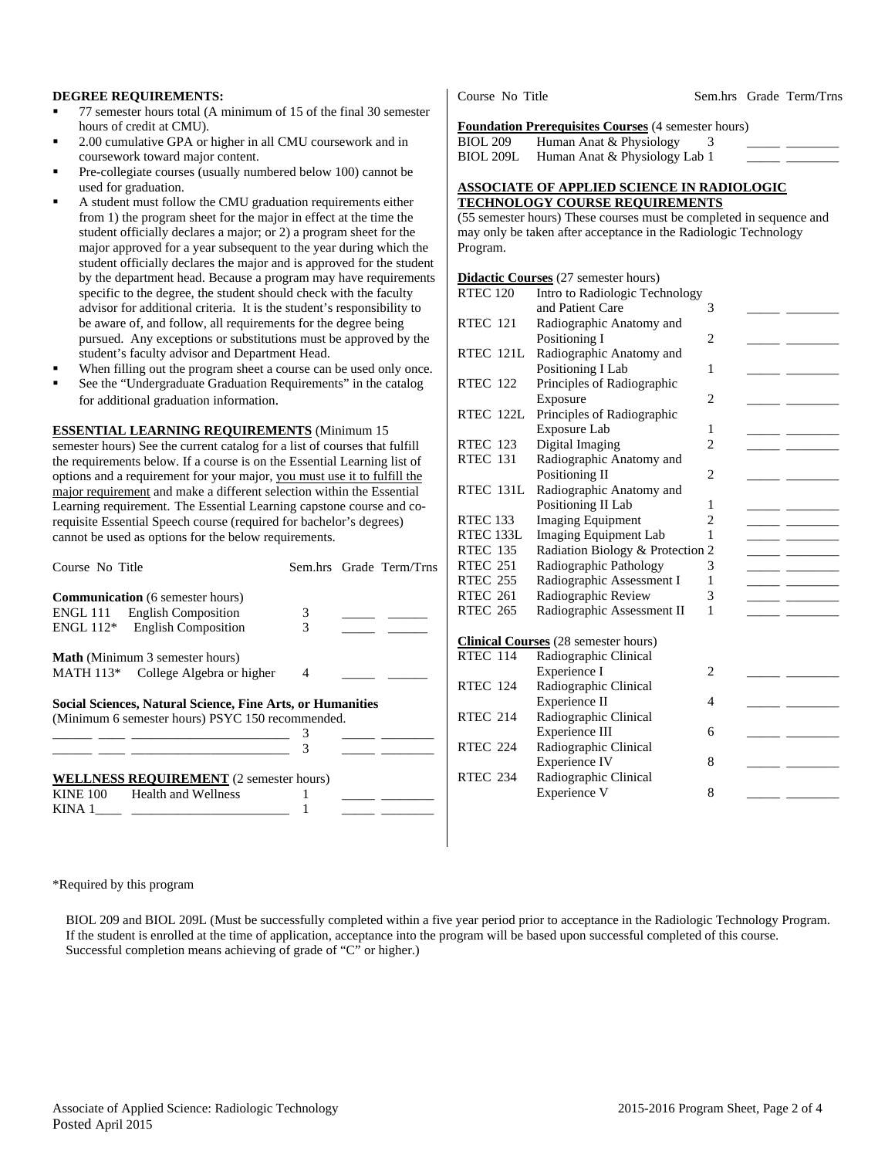#### **DEGREE REQUIREMENTS:**

- 77 semester hours total (A minimum of 15 of the final 30 semester hours of credit at CMU).
- 2.00 cumulative GPA or higher in all CMU coursework and in coursework toward major content.
- Pre-collegiate courses (usually numbered below 100) cannot be used for graduation.
- A student must follow the CMU graduation requirements either from 1) the program sheet for the major in effect at the time the student officially declares a major; or 2) a program sheet for the major approved for a year subsequent to the year during which the student officially declares the major and is approved for the student by the department head. Because a program may have requirements specific to the degree, the student should check with the faculty advisor for additional criteria. It is the student's responsibility to be aware of, and follow, all requirements for the degree being pursued. Any exceptions or substitutions must be approved by the student's faculty advisor and Department Head.
- When filling out the program sheet a course can be used only once.
- See the "Undergraduate Graduation Requirements" in the catalog for additional graduation information.

#### **ESSENTIAL LEARNING REQUIREMENTS** (Minimum 15

semester hours) See the current catalog for a list of courses that fulfill the requirements below. If a course is on the Essential Learning list of options and a requirement for your major, you must use it to fulfill the major requirement and make a different selection within the Essential Learning requirement. The Essential Learning capstone course and corequisite Essential Speech course (required for bachelor's degrees) cannot be used as options for the below requirements.

| Course No Title                                            |                | Sem.hrs Grade Term/Trns                  |
|------------------------------------------------------------|----------------|------------------------------------------|
| <b>Communication</b> (6 semester hours)                    |                |                                          |
| ENGL 111 English Composition                               | 3              |                                          |
| $ENGL 112*$ English Composition                            | 3              | <u> 1999 - Johann Barnett, politik e</u> |
| <b>Math</b> (Minimum 3 semester hours)                     |                |                                          |
| MATH 113 <sup>*</sup> College Algebra or higher            | $\overline{4}$ |                                          |
| Social Sciences, Natural Science, Fine Arts, or Humanities |                |                                          |
| (Minimum 6 semester hours) PSYC 150 recommended.           |                |                                          |
|                                                            |                |                                          |
|                                                            | 3              |                                          |
| <b>WELLNESS REQUIREMENT</b> (2 semester hours)             |                |                                          |
| <b>Health and Wellness</b><br><b>KINE 100</b>              |                |                                          |
| KINA 1                                                     |                |                                          |

Course No Title Sem.hrs Grade Term/Trns

#### **Foundation Prerequisites Courses** (4 semester hours)

BIOL 209 Human Anat & Physiology  $\frac{3}{3}$ BIOL 209L Human Anat & Physiology Lab 1

#### **ASSOCIATE OF APPLIED SCIENCE IN RADIOLOGIC TECHNOLOGY COURSE REQUIREMENTS**

(55 semester hours) These courses must be completed in sequence and may only be taken after acceptance in the Radiologic Technology Program.

#### **Didactic Courses** (27 semester hours)

| <b>RTEC 120</b> | Intro to Radiologic Technology              |                |  |
|-----------------|---------------------------------------------|----------------|--|
|                 | and Patient Care                            | 3              |  |
| <b>RTEC 121</b> | Radiographic Anatomy and                    |                |  |
|                 | Positioning I                               | $\overline{c}$ |  |
| RTEC 121L       | Radiographic Anatomy and                    |                |  |
|                 | Positioning I Lab                           | 1              |  |
| <b>RTEC 122</b> | Principles of Radiographic                  |                |  |
|                 | Exposure                                    | 2              |  |
| RTEC 122L       | Principles of Radiographic                  |                |  |
|                 | Exposure Lab                                | 1              |  |
| <b>RTEC 123</b> | Digital Imaging                             | $\overline{c}$ |  |
| <b>RTEC 131</b> | Radiographic Anatomy and                    |                |  |
|                 | Positioning II                              | $\overline{c}$ |  |
| RTEC 131L       | Radiographic Anatomy and                    |                |  |
|                 | Positioning II Lab                          | 1              |  |
| <b>RTEC 133</b> | <b>Imaging Equipment</b>                    | $\overline{c}$ |  |
| RTEC 133L       | Imaging Equipment Lab                       | 1              |  |
| <b>RTEC 135</b> | Radiation Biology & Protection 2            |                |  |
| <b>RTEC 251</b> | Radiographic Pathology                      | 3              |  |
| <b>RTEC 255</b> | Radiographic Assessment I                   | 1              |  |
| <b>RTEC 261</b> | Radiographic Review                         | 3              |  |
| <b>RTEC 265</b> | Radiographic Assessment II                  | 1              |  |
|                 |                                             |                |  |
|                 | <b>Clinical Courses</b> (28 semester hours) |                |  |
| <b>RTEC 114</b> | Radiographic Clinical                       |                |  |
|                 | Experience I                                | $\overline{c}$ |  |
| <b>RTEC 124</b> | Radiographic Clinical                       |                |  |
|                 | Experience II                               | 4              |  |
| <b>RTEC 214</b> | Radiographic Clinical                       |                |  |
|                 | Experience III                              | 6              |  |
| <b>RTEC 224</b> | Radiographic Clinical                       |                |  |
|                 | <b>Experience IV</b>                        | 8              |  |
| <b>RTEC 234</b> | Radiographic Clinical                       |                |  |
|                 | Experience V                                | 8              |  |
|                 |                                             |                |  |

\*Required by this program

 BIOL 209 and BIOL 209L (Must be successfully completed within a five year period prior to acceptance in the Radiologic Technology Program. If the student is enrolled at the time of application, acceptance into the program will be based upon successful completed of this course. Successful completion means achieving of grade of "C" or higher.)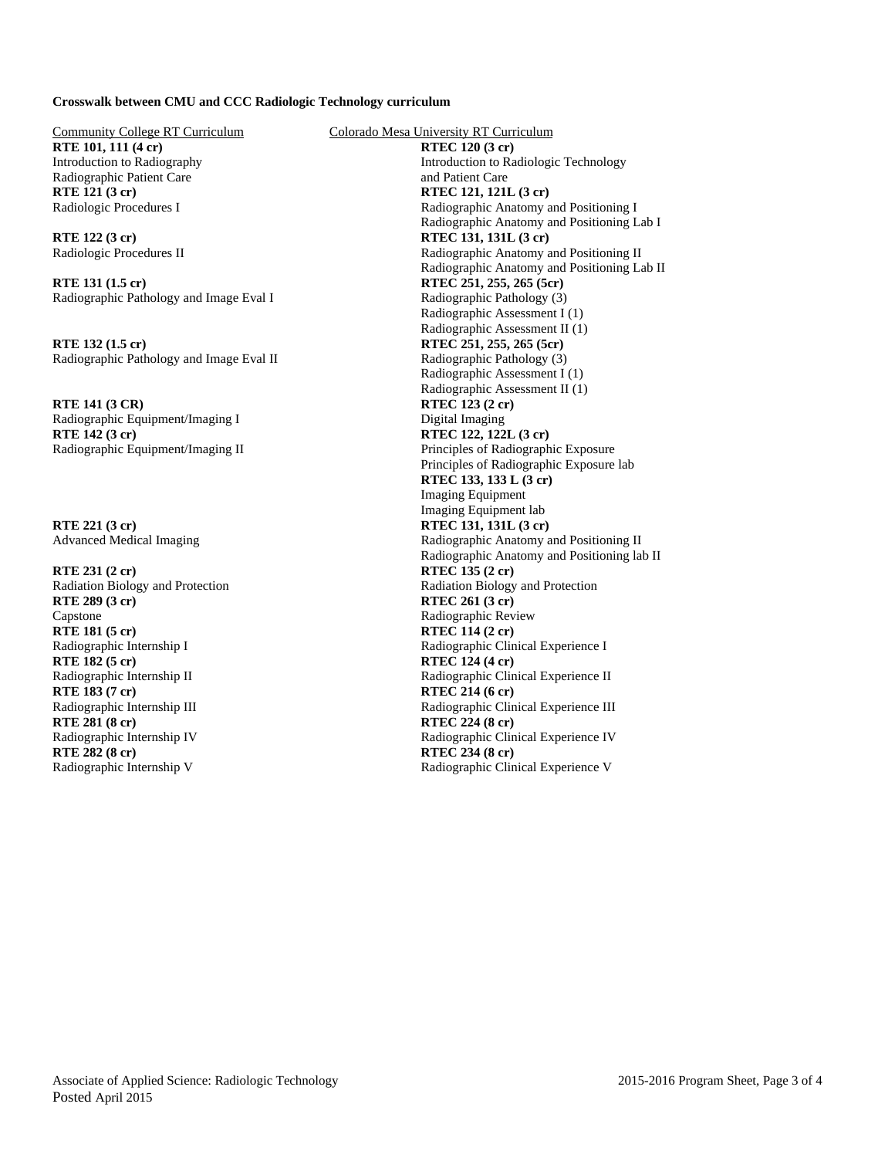### **Crosswalk between CMU and CCC Radiologic Technology curriculum**

**RTE 101, 111 (4 cr) RTEC 120 (3 cr)** Radiographic Patient Care and Patient Care and Patient Care **RTE 121 (3 cr) RTEC 121, 121L (3 cr)** 

**RTE 131 (1.5 cr) RTEC 251, 255, 265 (5cr)** Radiographic Pathology and Image Eval I Radiographic Pathology (3)

**RTE 132 (1.5 cr) RTEC 251, 255, 265 (5cr)** Radiographic Pathology and Image Eval II Radiographic Pathology (3)

**RTE 141 (3 CR) RTEC 123 (2 cr)** Radiographic Equipment/Imaging I Digital Imaging **RTE 142 (3 cr) RTEC 122, 122L (3 cr)** 

**RTE 231 (2 cr) RTEC 135 (2 cr) RTE 289 (3 cr) RTEC 261 (3 cr)** Capstone Radiographic Review Radiographic Review **RTEC 114 (2 cr)**<br>
Radiographic Internship I<br>
Radiographic Clin **RTE 182 (5 cr) RTEC 124 (4 cr) RTE 183 (7 cr)**<br>
Radiographic Internship III Radiographic Clin **RTE 281 (8 cr) RTEC 224 (8 cr) RTE 282 (8 cr) RTEC 234 (8 cr)** 

Community College RT Curriculum Colorado Mesa University RT Curriculum Introduction to Radiography Introduction to Radiologic Technology Radiologic Procedures I Radiographic Anatomy and Positioning I Radiographic Anatomy and Positioning Lab I **RTE 122 (3 cr)**<br>
Radiologic Procedures II<br>
Radiologic Procedures II<br>
Radiographic Anatomy a Radiographic Anatomy and Positioning II Radiographic Anatomy and Positioning Lab II Radiographic Assessment I (1) Radiographic Assessment II (1) Radiographic Assessment I (1) Radiographic Assessment II (1) Radiographic Equipment/Imaging II Principles of Radiographic Exposure Principles of Radiographic Exposure lab **RTEC 133, 133 L (3 cr)**  Imaging Equipment Imaging Equipment lab **RTE 221 (3 cr) RTEC 131, 131L (3 cr)** Advanced Medical Imaging Radiographic Anatomy and Positioning II Radiographic Anatomy and Positioning lab II Radiation Biology and Protection Radiation Biology and Protection Radiographic Clinical Experience I Radiographic Internship II Radiographic Clinical Experience II<br>
RTE 183 (7 cr) RTE 214 (6 cr) Radiographic Clinical Experience III Radiographic Internship IV Radiographic Clinical Experience IV Radiographic Internship V Radiographic Clinical Experience V